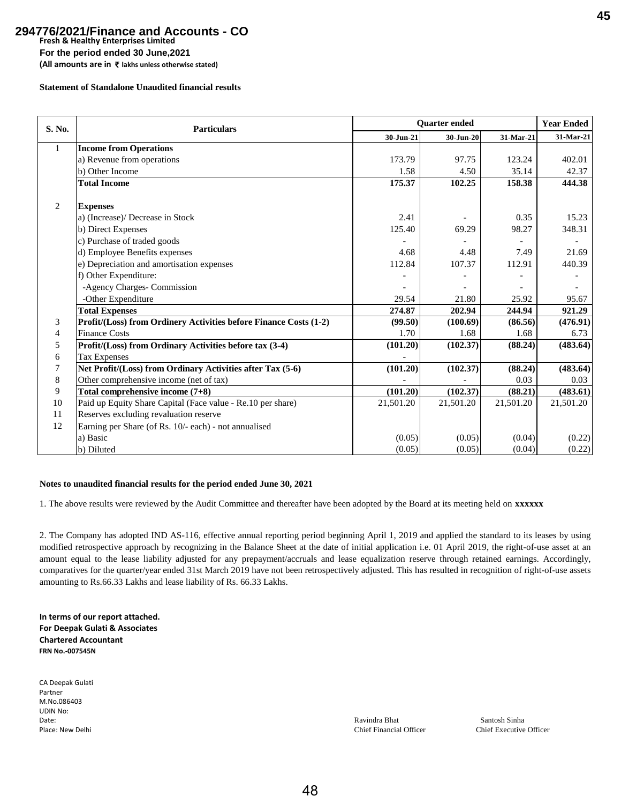# **Fresh & Healthy Enterprises Limited For the period ended 30 June,2021 294776/2021/Finance and Accounts - CO**

**(All amounts are in** ` **lakhs unless otherwise stated)**

### **Statement of Standalone Unaudited financial results**

| S. No.       | <b>Particulars</b>                                                | <b>Ouarter</b> ended |           |           | <b>Year Ended</b> |
|--------------|-------------------------------------------------------------------|----------------------|-----------|-----------|-------------------|
|              |                                                                   | 30-Jun-21            | 30-Jun-20 | 31-Mar-21 | 31-Mar-21         |
| $\mathbf{1}$ | <b>Income from Operations</b>                                     |                      |           |           |                   |
|              | a) Revenue from operations                                        | 173.79               | 97.75     | 123.24    | 402.01            |
|              | b) Other Income                                                   | 1.58                 | 4.50      | 35.14     | 42.37             |
|              | <b>Total Income</b>                                               | 175.37               | 102.25    | 158.38    | 444.38            |
|              |                                                                   |                      |           |           |                   |
| 2            | <b>Expenses</b>                                                   |                      |           |           |                   |
|              | a) (Increase)/ Decrease in Stock                                  | 2.41                 |           | 0.35      | 15.23             |
|              | b) Direct Expenses                                                | 125.40               | 69.29     | 98.27     | 348.31            |
|              | c) Purchase of traded goods                                       |                      |           |           |                   |
|              | d) Employee Benefits expenses                                     | 4.68                 | 4.48      | 7.49      | 21.69             |
|              | e) Depreciation and amortisation expenses                         | 112.84               | 107.37    | 112.91    | 440.39            |
|              | f) Other Expenditure:                                             |                      |           |           |                   |
|              | -Agency Charges- Commission                                       |                      |           |           |                   |
|              | -Other Expenditure                                                | 29.54                | 21.80     | 25.92     | 95.67             |
|              | <b>Total Expenses</b>                                             | 274.87               | 202.94    | 244.94    | 921.29            |
| 3            | Profit/(Loss) from Ordinery Activities before Finance Costs (1-2) | (99.50)              | (100.69)  | (86.56)   | (476.91)          |
| 4            | <b>Finance Costs</b>                                              | 1.70                 | 1.68      | 1.68      | 6.73              |
| 5            | Profit/(Loss) from Ordinary Activities before tax (3-4)           | (101.20)             | (102.37)  | (88.24)   | (483.64)          |
| 6            | <b>Tax Expenses</b>                                               |                      |           |           |                   |
| 7            | Net Profit/(Loss) from Ordinary Activities after Tax (5-6)        | (101.20)             | (102.37)  | (88.24)   | (483.64)          |
| 8            | Other comprehensive income (net of tax)                           |                      |           | 0.03      | 0.03              |
| 9            | Total comprehensive income $(7+8)$                                | (101.20)             | (102.37)  | (88.21)   | (483.61)          |
| 10           | Paid up Equity Share Capital (Face value - Re.10 per share)       | 21,501.20            | 21,501.20 | 21,501.20 | 21,501.20         |
| 11           | Reserves excluding revaluation reserve                            |                      |           |           |                   |
| 12           | Earning per Share (of Rs. 10/- each) - not annualised             |                      |           |           |                   |
|              | a) Basic                                                          | (0.05)               | (0.05)    | (0.04)    | (0.22)            |
|              | b) Diluted                                                        | (0.05)               | (0.05)    | (0.04)    | (0.22)            |

## **Notes to unaudited financial results for the period ended June 30, 2021**

1. The above results were reviewed by the Audit Committee and thereafter have been adopted by the Board at its meeting held on **xxxxxx**

2. The Company has adopted IND AS-116, effective annual reporting period beginning April 1, 2019 and applied the standard to its leases by using modified retrospective approach by recognizing in the Balance Sheet at the date of initial application i.e. 01 April 2019, the right-of-use asset at an amount equal to the lease liability adjusted for any prepayment/accruals and lease equalization reserve through retained earnings. Accordingly, comparatives for the quarter/year ended 31st March 2019 have not been retrospectively adjusted. This has resulted in recognition of right-of-use assets amounting to Rs.66.33 Lakhs and lease liability of Rs. 66.33 Lakhs.

**In terms of our report attached. For Deepak Gulati & Associates Chartered Accountant FRN No.-007545N**

CA Deepak Gulati Partner M.No.086403 UDIN No:

Date: Ravindra Bhat Santosh Sinha Place: New Delhi Chief Executive Officer Chief Financial Officer Chief Executive Officer Chief Executive Officer